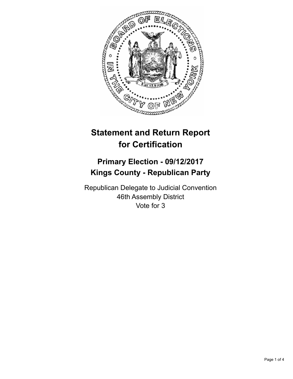

## **Statement and Return Report for Certification**

## **Primary Election - 09/12/2017 Kings County - Republican Party**

Republican Delegate to Judicial Convention 46th Assembly District Vote for 3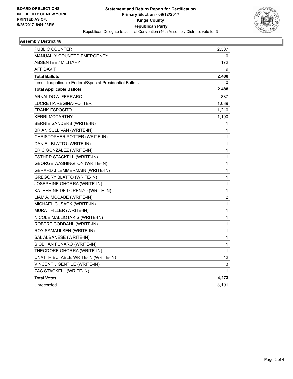

## **Assembly District 46**

| PUBLIC COUNTER                                           | 2,307       |
|----------------------------------------------------------|-------------|
| <b>MANUALLY COUNTED EMERGENCY</b>                        | 0           |
| ABSENTEE / MILITARY                                      | 172         |
| <b>AFFIDAVIT</b>                                         | 9           |
| <b>Total Ballots</b>                                     | 2,488       |
| Less - Inapplicable Federal/Special Presidential Ballots | 0           |
| <b>Total Applicable Ballots</b>                          | 2,488       |
| ARNALDO A. FERRARO                                       | 887         |
| <b>LUCRETIA REGINA-POTTER</b>                            | 1,039       |
| <b>FRANK ESPOSITO</b>                                    | 1,210       |
| <b>KERRI MCCARTHY</b>                                    | 1,100       |
| BERNIE SANDERS (WRITE-IN)                                | 1           |
| BRIAN SULLIVAN (WRITE-IN)                                | 1           |
| CHRISTOPHER POTTER (WRITE-IN)                            | 1           |
| DANIEL BLATTO (WRITE-IN)                                 | 1           |
| ERIC GONZALEZ (WRITE-IN)                                 | 1           |
| ESTHER STACKELL (WRITE-IN)                               | 1           |
| <b>GEORGE WASHINGTON (WRITE-IN)</b>                      | 1           |
| <b>GERARD J LEMMERMAIN (WRITE-IN)</b>                    | 1           |
| <b>GREGORY BLATTO (WRITE-IN)</b>                         | 1           |
| JOSEPHINE GHORRA (WRITE-IN)                              | 1           |
| KATHERINE DE LORENZO (WRITE-IN)                          | 1           |
| LIAM A. MCCABE (WRITE-IN)                                | 2           |
| MICHAEL CUSACK (WRITE-IN)                                | 1           |
| MURAT FILLER (WRITE-IN)                                  | $\mathbf 1$ |
| NICOLE MALLIOTAKIS (WRITE-IN)                            | 1           |
| ROBERT GODDAHL (WRITE-IN)                                | 1           |
| ROY SAMAULSEN (WRITE-IN)                                 | $\mathbf 1$ |
| SAL ALBANESE (WRITE-IN)                                  | 1           |
| SIOBHAN FUNARO (WRITE-IN)                                | 1           |
| THEODORE GHORRA (WRITE-IN)                               | 1           |
| UNATTRIBUTABLE WRITE-IN (WRITE-IN)                       | 12          |
| VINCENT J GENTILE (WRITE-IN)                             | 3           |
| ZAC STACKELL (WRITE-IN)                                  | 1           |
| <b>Total Votes</b>                                       | 4,273       |
| Unrecorded                                               | 3,191       |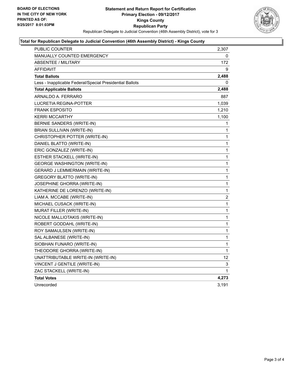

## **Total for Republican Delegate to Judicial Convention (46th Assembly District) - Kings County**

| <b>PUBLIC COUNTER</b>                                    | 2,307 |
|----------------------------------------------------------|-------|
| <b>MANUALLY COUNTED EMERGENCY</b>                        | 0     |
| <b>ABSENTEE / MILITARY</b>                               | 172   |
| AFFIDAVIT                                                | 9     |
| <b>Total Ballots</b>                                     | 2,488 |
| Less - Inapplicable Federal/Special Presidential Ballots | 0     |
| <b>Total Applicable Ballots</b>                          | 2,488 |
| ARNALDO A. FERRARO                                       | 887   |
| <b>LUCRETIA REGINA-POTTER</b>                            | 1,039 |
| <b>FRANK ESPOSITO</b>                                    | 1,210 |
| <b>KERRI MCCARTHY</b>                                    | 1,100 |
| BERNIE SANDERS (WRITE-IN)                                | 1     |
| BRIAN SULLIVAN (WRITE-IN)                                | 1     |
| CHRISTOPHER POTTER (WRITE-IN)                            | 1     |
| DANIEL BLATTO (WRITE-IN)                                 | 1     |
| ERIC GONZALEZ (WRITE-IN)                                 | 1     |
| ESTHER STACKELL (WRITE-IN)                               | 1     |
| <b>GEORGE WASHINGTON (WRITE-IN)</b>                      | 1     |
| GERARD J LEMMERMAIN (WRITE-IN)                           | 1     |
| <b>GREGORY BLATTO (WRITE-IN)</b>                         | 1     |
| JOSEPHINE GHORRA (WRITE-IN)                              | 1     |
| KATHERINE DE LORENZO (WRITE-IN)                          | 1     |
| LIAM A. MCCABE (WRITE-IN)                                | 2     |
| MICHAEL CUSACK (WRITE-IN)                                | 1     |
| MURAT FILLER (WRITE-IN)                                  | 1     |
| NICOLE MALLIOTAKIS (WRITE-IN)                            | 1     |
| ROBERT GODDAHL (WRITE-IN)                                | 1     |
| ROY SAMAULSEN (WRITE-IN)                                 | 1     |
| SAL ALBANESE (WRITE-IN)                                  | 1     |
| SIOBHAN FUNARO (WRITE-IN)                                | 1     |
| THEODORE GHORRA (WRITE-IN)                               | 1     |
| UNATTRIBUTABLE WRITE-IN (WRITE-IN)                       | 12    |
| VINCENT J GENTILE (WRITE-IN)                             | 3     |
| ZAC STACKELL (WRITE-IN)                                  | 1     |
| <b>Total Votes</b>                                       | 4,273 |
| Unrecorded                                               | 3,191 |